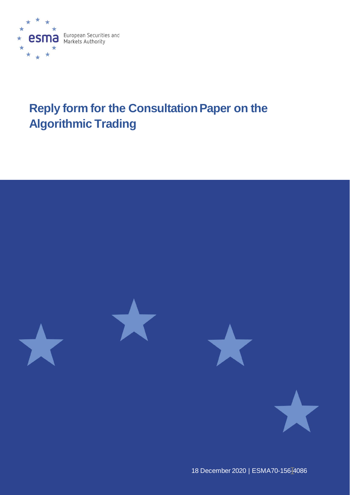

# **Reply form for the Consultation Paper on the Algorithmic Trading**



18 December 2020 | [ESMA70-156-4](https://sherpa.esma.europa.eu/sites/MKT/SMK/_layouts/15/DocIdRedir.aspx?ID=ESMA70-156-2013)086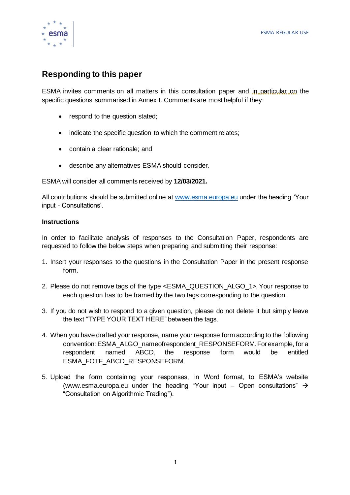

# **Responding to this paper**

ESMA invites comments on all matters in this consultation paper and in particular on the specific questions summarised in Annex I. Comments are most helpful if they:

- respond to the question stated;
- indicate the specific question to which the comment relates;
- contain a clear rationale; and
- describe any alternatives ESMA should consider.

ESMA will consider all comments received by **12/03/2021.** 

All contributions should be submitted online at [www.esma.europa.eu](http://www.esma.europa.eu/) under the heading 'Your input - Consultations'.

#### **Instructions**

In order to facilitate analysis of responses to the Consultation Paper, respondents are requested to follow the below steps when preparing and submitting their response:

- 1. Insert your responses to the questions in the Consultation Paper in the present response form.
- 2. Please do not remove tags of the type <ESMA\_QUESTION\_ALGO\_1>. Your response to each question has to be framed by the two tags corresponding to the question.
- 3. If you do not wish to respond to a given question, please do not delete it but simply leave the text "TYPE YOUR TEXT HERE" between the tags.
- 4. When you have drafted your response, name your response form according to the following convention: ESMA\_ALGO\_nameofrespondent\_RESPONSEFORM. For example, for a respondent named ABCD, the response form would be entitled ESMA\_FOTF\_ABCD\_RESPONSEFORM.
- 5. Upload the form containing your responses, in Word format, to ESMA's website [\(www.esma.europa.eu](http://www.esma.europa.eu/) under the heading "Your input – Open consultations"  $\rightarrow$ "Consultation on Algorithmic Trading").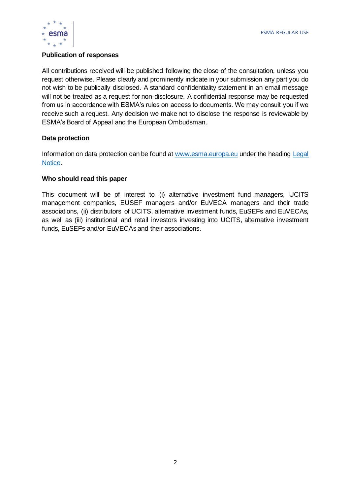

#### **Publication of responses**

All contributions received will be published following the close of the consultation, unless you request otherwise. Please clearly and prominently indicate in your submission any part you do not wish to be publically disclosed. A standard confidentiality statement in an email message will not be treated as a request for non-disclosure. A confidential response may be requested from us in accordance with ESMA's rules on access to documents. We may consult you if we receive such a request. Any decision we make not to disclose the response is reviewable by ESMA's Board of Appeal and the European Ombudsman.

#### **Data protection**

Information on data protection can be found at [www.esma.europa.eu](http://www.esma.europa.eu/) under the headin[g Legal](http://www.esma.europa.eu/legal-notice)  [Notice.](http://www.esma.europa.eu/legal-notice)

#### **Who should read this paper**

This document will be of interest to (i) alternative investment fund managers, UCITS management companies, EUSEF managers and/or EuVECA managers and their trade associations, (ii) distributors of UCITS, alternative investment funds, EuSEFs and EuVECAs, as well as (iii) institutional and retail investors investing into UCITS, alternative investment funds, EuSEFs and/or EuVECAs and their associations.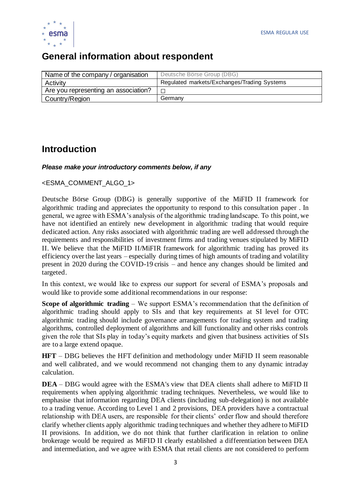

# **General information about respondent**

| Name of the company / organisation   | Deutsche Börse Group (DBG)                  |
|--------------------------------------|---------------------------------------------|
| Activity                             | Regulated markets/Exchanges/Trading Systems |
| Are you representing an association? |                                             |
| Country/Region                       | Germany                                     |

# **Introduction**

# *Please make your introductory comments below, if any*

#### <ESMA\_COMMENT\_ALGO\_1>

Deutsche Börse Group (DBG) is generally supportive of the MiFID II framework for algorithmic trading and appreciates the opportunity to respond to this consultation paper . In general, we agree with ESMA's analysis of the algorithmic trading landscape. To this point, we have not identified an entirely new development in algorithmic trading that would require dedicated action. Any risks associated with algorithmic trading are well addressed through the requirements and responsibilities of investment firms and trading venues stipulated by MiFID II. We believe that the MiFID II/MiFIR framework for algorithmic trading has proved its efficiency over the last years – especially during times of high amounts of trading and volatility present in 2020 during the COVID-19 crisis – and hence any changes should be limited and targeted.

In this context, we would like to express our support for several of ESMA's proposals and would like to provide some additional recommendations in our response:

**Scope of algorithmic trading** – We support ESMA's recommendation that the definition of algorithmic trading should apply to SIs and that key requirements at SI level for OTC algorithmic trading should include governance arrangements for trading system and trading algorithms, controlled deployment of algorithms and kill functionality and other risks controls given the role that SIs play in today's equity markets and given that business activities of SIs are to a large extend opaque.

**HFT** – DBG believes the HFT definition and methodology under MiFID II seem reasonable and well calibrated, and we would recommend not changing them to any dynamic intraday calculation.

**DEA** – DBG would agree with the ESMA's view that DEA clients shall adhere to MiFID II requirements when applying algorithmic trading techniques. Nevertheless, we would like to emphasise that information regarding DEA clients (including sub-delegation) is not available to a trading venue. According to Level 1 and 2 provisions, DEA providers have a contractual relationship with DEA users, are responsible for their clients' order flow and should therefore clarify whether clients apply algorithmic trading techniques and whether they adhere to MiFID II provisions. In addition, we do not think that further clarification in relation to online brokerage would be required as MiFID II clearly established a differentiation between DEA and intermediation, and we agree with ESMA that retail clients are not considered to perform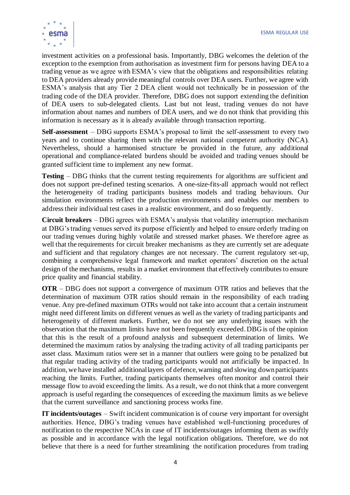

investment activities on a professional basis. Importantly, DBG welcomes the deletion of the exception to the exemption from authorisation as investment firm for persons having DEA to a trading venue as we agree with ESMA's view that the obligations and responsibilities relating to DEA providers already provide meaningful controls over DEA users. Further, we agree with ESMA's analysis that any Tier 2 DEA client would not technically be in possession of the trading code of the DEA provider. Therefore, DBG does not support extending the definition of DEA users to sub-delegated clients. Last but not least, trading venues do not have information about names and numbers of DEA users, and we do not think that providing this information is necessary as it is already available through transaction reporting.

**Self-assessment** – DBG supports ESMA's proposal to limit the self-assessment to every two years and to continue sharing them with the relevant national competent authority (NCA). Nevertheless, should a harmonised structure be provided in the future, any additional operational and compliance-related burdens should be avoided and trading venues should be granted sufficient time to implement any new format.

**Testing** – DBG thinks that the current testing requirements for algorithms are sufficient and does not support pre-defined testing scenarios. A one-size-fits-all approach would not reflect the heterogeneity of trading participants business models and trading behaviours. Our simulation environments reflect the production environments and enables our members to address their individual test cases in a realistic environment, and do so frequently.

**Circuit breakers** – DBG agrees with ESMA's analysis that volatility interruption mechanism at DBG's trading venues served its purpose efficiently and helped to ensure orderly trading on our trading venues during highly volatile and stressed market phases. We therefore agree as well that the requirements for circuit breaker mechanisms as they are currently set are adequate and sufficient and that regulatory changes are not necessary. The current regulatory set-up, combining a comprehensive legal framework and market operators' discretion on the actual design of the mechanisms, results in a market environment that effectively contributes to ensure price quality and financial stability.

**OTR** – DBG does not support a convergence of maximum OTR ratios and believes that the determination of maximum OTR ratios should remain in the responsibility of each trading venue. Any pre-defined maximum OTRs would not take into account that a certain instrument might need different limits on different venues as well as the variety of trading participants and heterogeneity of different markets. Further, we do not see any underlying issues with the observation that the maximum limits have not been frequently exceeded. DBG is of the opinion that this is the result of a profound analysis and subsequent determination of limits. We determined the maximum ratios by analysing the trading activity of all trading participants per asset class. Maximum ratios were set in a manner that outliers were going to be penalized but that regular trading activity of the trading participants would not artificially be impacted. In addition, we have installed additional layers of defence, warning and slowing down participants reaching the limits. Further, trading participants themselves often monitor and control their message flow to avoid exceeding the limits. As a result, we do not think that a more convergent approach is useful regarding the consequences of exceeding the maximum limits as we believe that the current surveillance and sanctioning process works fine.

**IT incidents/outages** – Swift incident communication is of course very important for oversight authorities. Hence, DBG's trading venues have established well-functioning procedures of notification to the respective NCAs in case of IT incidents/outages informing them as swiftly as possible and in accordance with the legal notification obligations. Therefore, we do not believe that there is a need for further streamlining the notification procedures from trading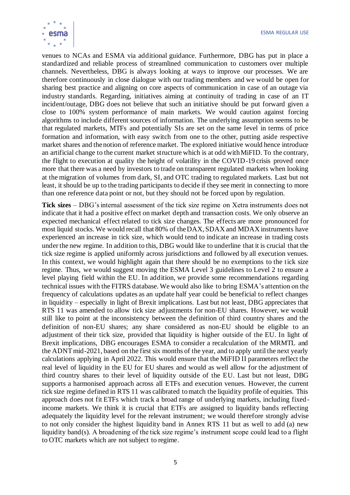

venues to NCAs and ESMA via additional guidance. Furthermore, DBG has put in place a standardized and reliable process of streamlined communication to customers over multiple channels. Nevertheless, DBG is always looking at ways to improve our processes. We are therefore continuously in close dialogue with our trading members and we would be open for sharing best practice and aligning on core aspects of communication in case of an outage via industry standards. Regarding, initiatives aiming at continuity of trading in case of an IT incident/outage, DBG does not believe that such an initiative should be put forward given a close to 100% system performance of main markets. We would caution against forcing algorithms to include different sources of information. The underlying assumption seems to be that regulated markets, MTFs and potentially SIs are set on the same level in terms of price formation and information, with easy switch from one to the other, putting aside respective market shares and the notion of reference market. The explored initiative would hence introduce an artificial change to the current market structure which is at odd with MiFID. To the contrary, the flight to execution at quality the height of volatility in the COVID-19 crisis proved once more that there was a need by investors to trade on transparent regulated markets when looking at the migration of volumes from dark, SI, and OTC trading to regulated markets. Last but not least, it should be up to the trading participants to decide if they see merit in connecting to more than one reference data point or not, but they should not be forced upon by regulation.

**Tick sizes** – DBG's internal assessment of the tick size regime on Xetra instruments does not indicate that it had a positive effect on market depth and transaction costs. We only observe an expected mechanical effect related to tick size changes. The effects are more pronounced for most liquid stocks. We would recall that 80% of the DAX, SDAX and MDAX instruments have experienced an increase in tick size, which would tend to indicate an increase in trading costs under the new regime. In addition to this, DBG would like to underline that it is crucial that the tick size regime is applied uniformly across jurisdictions and followed by all execution venues. In this context, we would highlight again that there should be no exemptions to the tick size regime. Thus, we would suggest moving the ESMA Level 3 guidelines to Level 2 to ensure a level playing field within the EU. In addition, we provide some recommendations regarding technical issues with the FITRS database. We would also like to bring ESMA's attention on the frequency of calculations updates as an update half year could be beneficial to reflect changes in liquidity – especially in light of Brexit implications. Last but not least, DBG appreciates that RTS 11 was amended to allow tick size adjustments for non-EU shares. However, we would still like to point at the inconsistency between the definition of third country shares and the definition of non-EU shares; any share considered as non-EU should be eligible to an adjustment of their tick size, provided that liquidity is higher outside of the EU. In light of Brexit implications, DBG encourages ESMA to consider a recalculation of the MRMTL and the ADNT mid-2021, based on the first six months of the year, and to apply until the next yearly calculations applying in April 2022. This would ensure that the MiFID II parameters reflect the real level of liquidity in the EU for EU shares and would as well allow for the adjustment of third country shares to their level of liquidity outside of the EU. Last but not least, DBG supports a harmonised approach across all ETFs and execution venues. However, the current tick size regime defined in RTS 11 was calibrated to match the liquidity profile of equities. This approach does not fit ETFs which track a broad range of underlying markets, including fixedincome markets. We think it is crucial that ETFs are assigned to liquidity bands reflecting adequately the liquidity level for the relevant instrument; we would therefore strongly advise to not only consider the highest liquidity band in Annex RTS 11 but as well to add (a) new liquidity band(s). A broadening of the tick size regime's instrument scope could lead to a flight to OTC markets which are not subject to regime.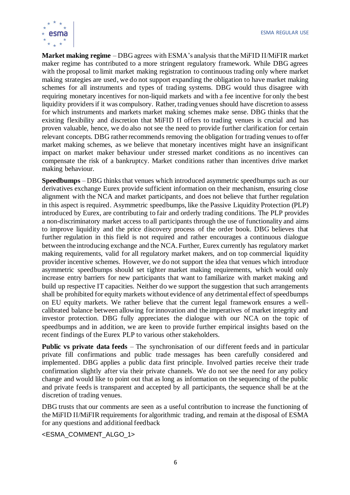

**Market making regime** – DBG agrees with ESMA's analysis that the MiFID II/MiFIR market maker regime has contributed to a more stringent regulatory framework. While DBG agrees with the proposal to limit market making registration to continuous trading only where market making strategies are used, we do not support expanding the obligation to have market making schemes for all instruments and types of trading systems. DBG would thus disagree with requiring monetary incentives for non-liquid markets and with a fee incentive for only the best liquidity providers if it was compulsory. Rather, trading venues should have discretion to assess for which instruments and markets market making schemes make sense. DBG thinks that the existing flexibility and discretion that MiFID II offers to trading venues is crucial and has proven valuable, hence, we do also not see the need to provide further clarification for certain relevant concepts. DBG rather recommends removing the obligation for trading venues to offer market making schemes, as we believe that monetary incentives might have an insignificant impact on market maker behaviour under stressed market conditions as no incentives can compensate the risk of a bankruptcy. Market conditions rather than incentives drive market making behaviour.

**Speedbumps** – DBG thinks that venues which introduced asymmetric speedbumps such as our derivatives exchange Eurex provide sufficient information on their mechanism, ensuring close alignment with the NCA and market participants, and does not believe that further regulation in this aspect is required. Asymmetric speedbumps, like the Passive Liquidity Protection (PLP) introduced by Eurex, are contributing to fair and orderly trading conditions. The PLP provides a non-discriminatory market access to all participants through the use of functionality and aims to improve liquidity and the price discovery process of the order book. DBG believes that further regulation in this field is not required and rather encourages a continuous dialogue between the introducing exchange and the NCA. Further, Eurex currently has regulatory market making requirements, valid for all regulatory market makers, and on top commercial liquidity provider incentive schemes. However, we do not support the idea that venues which introduce asymmetric speedbumps should set tighter market making requirements, which would only increase entry barriers for new participants that want to familiarize with market making and build up respective IT capacities. Neither do we support the suggestion that such arrangements shall be prohibited for equity markets without evidence of any detrimental effect of speedbumps on EU equity markets. We rather believe that the current legal framework ensures a wellcalibrated balance between allowing for innovation and the imperatives of market integrity and investor protection. DBG fully appreciates the dialogue with our NCA on the topic of speedbumps and in addition, we are keen to provide further empirical insights based on the recent findings of the Eurex PLP to various other stakeholders.

**Public vs private data feeds** – The synchronisation of our different feeds and in particular private fill confirmations and public trade messages has been carefully considered and implemented. DBG applies a public data first principle. Involved parties receive their trade confirmation slightly after via their private channels. We do not see the need for any policy change and would like to point out that as long as information on the sequencing of the public and private feeds is transparent and accepted by all participants, the sequence shall be at the discretion of trading venues.

DBG trusts that our comments are seen as a useful contribution to increase the functioning of the MiFID II/MiFIR requirements for algorithmic trading, and remain at the disposal of ESMA for any questions and additional feedback

<ESMA\_COMMENT\_ALGO\_1>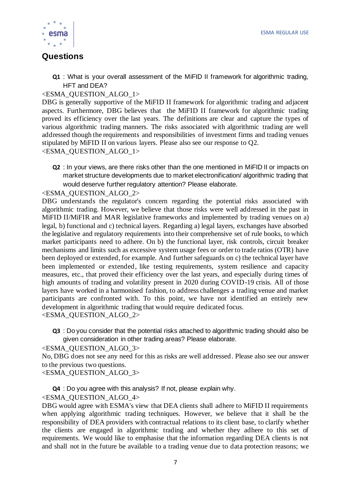

# **Questions**

**Q1** : What is your overall assessment of the MiFID II framework for algorithmic trading, HFT and DEA?

# <ESMA\_QUESTION\_ALGO\_1>

DBG is generally supportive of the MiFID II framework for algorithmic trading and adjacent aspects. Furthermore, DBG believes that the MiFID II framework for algorithmic trading proved its efficiency over the last years. The definitions are clear and capture the types of various algorithmic trading manners. The risks associated with algorithmic trading are well addressed though the requirements and responsibilities of investment firms and trading venues stipulated by MiFID II on various layers. Please also see our response to Q2. <ESMA\_QUESTION\_ALGO\_1>

**Q2** : In your views, are there risks other than the one mentioned in MiFID II or impacts on market structure developments due to market electronification/ algorithmic trading that would deserve further regulatory attention? Please elaborate.

<ESMA\_QUESTION\_ALGO\_2>

DBG understands the regulator's concern regarding the potential risks associated with algorithmic trading. However, we believe that those risks were well addressed in the past in MiFID II/MiFIR and MAR legislative frameworks and implemented by trading venues on a) legal, b) functional and c) technical layers. Regarding a) legal layers, exchanges have absorbed the legislative and regulatory requirements into their comprehensive set of rule books, to which market participants need to adhere. On b) the functional layer, risk controls, circuit breaker mechanisms and limits such as excessive system usage fees or order to trade ratios (OTR) have been deployed or extended, for example. And further safeguards on c) the technical layer have been implemented or extended, like testing requirements, system resilience and capacity measures, etc., that proved their efficiency over the last years, and especially during times of high amounts of trading and volatility present in 2020 during COVID-19 crisis. All of those layers have worked in a harmonised fashion, to address challenges a trading venue and market participants are confronted with. To this point, we have not identified an entirely new development in algorithmic trading that would require dedicated focus. <ESMA\_QUESTION\_ALGO\_2>

**Q3** : Do you consider that the potential risks attached to algorithmic trading should also be given consideration in other trading areas? Please elaborate.

<ESMA\_QUESTION\_ALGO\_3> No, DBG does not see any need for this as risks are well addressed. Please also see our answer to the previous two questions. <ESMA\_QUESTION\_ALGO\_3>

**Q4** : Do you agree with this analysis? If not, please explain why. <ESMA\_QUESTION\_ALGO\_4>

DBG would agree with ESMA's view that DEA clients shall adhere to MiFID II requirements when applying algorithmic trading techniques. However, we believe that it shall be the responsibility of DEA providers with contractual relations to its client base, to clarify whether the clients are engaged in algorithmic trading and whether they adhere to this set of requirements. We would like to emphasise that the information regarding DEA clients is not and shall not in the future be available to a trading venue due to data protection reasons; we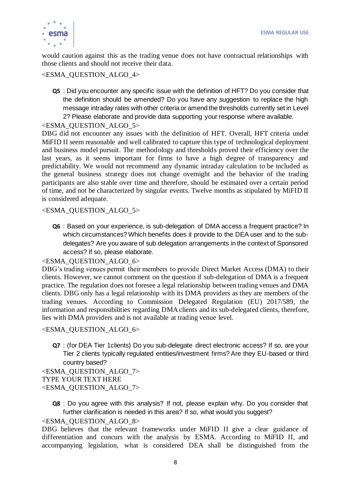

would caution against this as the trading venue does not have contractual relationships with those clients and should not receive their data.

# <ESMA\_QUESTION\_ALGO\_4>

**Q5** : Did you encounter any specific issue with the definition of HFT? Do you consider that the definition should be amended? Do you have any suggestion to replace the high message intraday rates with other criteria or amend the thresholds currently set in Level 2? Please elaborate and provide data supporting your response where available.

#### <ESMA\_QUESTION\_ALGO\_5>

DBG did not encounter any issues with the definition of HFT. Overall, HFT criteria under MiFID II seem reasonable and well calibrated to capture this type of technological deployment and business model pursuit. The methodology and thresholds proved their efficiency over the last years, as it seems important for firms to have a high degree of transparency and predictability. We would not recommend any dynamic intraday calculation to be included as the general business strategy does not change overnight and the behavior of the trading participants are also stable over time and therefore, should be estimated over a certain period of time, and not be characterized by singular events. Twelve months as stipulated by MiFID II is considered adequate.

<ESMA\_QUESTION\_ALGO\_5>

**Q6** : Based on your experience, is sub-delegation of DMA access a frequent practice? In which circumstances? Which benefits does it provide to the DEA user and to the subdelegates? Are you aware of sub delegation arrangements in the context of Sponsored access? If so, please elaborate.

#### <ESMA\_QUESTION\_ALGO\_6>

DBG's trading venues permit their members to provide Direct Market Access (DMA) to their clients. However, we cannot comment on the question if sub-delegation of DMA is a frequent practice. The regulation does not foresee a legal relationship between trading venues and DMA clients. DBG only has a legal relationship with its DMA providers as they are members of the trading venues. According to Commission Delegated Regulation (EU) 2017/589, the information and responsibilities regarding DMA clients and its sub-delegated clients, therefore, lies with DMA providers and is not available at trading venue level.

#### <ESMA\_QUESTION\_ALGO\_6>

**Q7** : (for DEA Tier 1clients) Do you sub-delegate direct electronic access? If so, are your Tier 2 clients typically regulated entities/investment firms? Are they EU-based or third country based?

<ESMA\_QUESTION\_ALGO\_7> TYPE YOUR TEXT HERE <ESMA\_QUESTION\_ALGO\_7>

> **Q8** : Do you agree with this analysis? If not, please explain why. Do you consider that further clarification is needed in this area? If so, what would you suggest?

#### <ESMA\_QUESTION\_ALGO\_8>

DBG believes that the relevant frameworks under MiFID II give a clear guidance of differentiation and concurs with the analysis by ESMA. According to MiFID II, and accompanying legislation, what is considered DEA shall be distinguished from the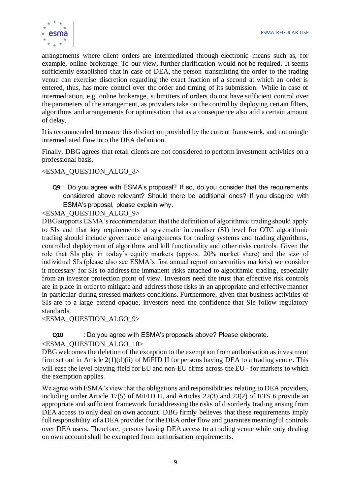

arrangements where client orders are intermediated through electronic means such as, for example, online brokerage. To our view, further clarification would not be required. It seems sufficiently established that in case of DEA, the person transmitting the order to the trading venue can exercise discretion regarding the exact fraction of a second at which an order is entered, thus, has more control over the order and timing of its submission. While in case of intermediation, e.g. online brokerage, submitters of orders do not have sufficient control over the parameters of the arrangement, as providers take on the control by deploying certain filters, algorithms and arrangements for optimisation that as a consequence also add a certain amount of delay.

It is recommended to ensure this distinction provided by the current framework, and not mingle intermediated flow into the DEA definition.

Finally, DBG agrees that retail clients are not considered to perform investment activities on a professional basis.

<ESMA\_QUESTION\_ALGO\_8>

**Q9** : Do you agree with ESMA's proposal? If so, do you consider that the requirements considered above relevant? Should there be additional ones? If you disagree with ESMA's proposal, please explain why.

<ESMA\_QUESTION\_ALGO\_9>

DBG supports ESMA's recommendation that the definition of algorithmic trading should apply to SIs and that key requirements at systematic internaliser (SI) level for OTC algorithmic trading should include governance arrangements for trading systems and trading algorithms, controlled deployment of algorithms and kill functionality and other risks controls. Given the role that SIs play in today's equity markets (approx. 20% market share) and the size of individual SIs (please also see ESMA's first annual report on securities markets) we consider it necessary for SIs to address the immanent risks attached to algorithmic trading, especially from an investor protection point of view. Investors need the trust that effective risk controls are in place in order to mitigate and address those risks in an appropriate and effective manner in particular during stressed markets conditions. Furthermore, given that business activities of SIs are to a large extend opaque, investors need the confidence that SIs follow regulatory standards.

<ESMA\_QUESTION\_ALGO\_9>

**Q10** : Do you agree with ESMA's proposals above? Please elaborate.

<ESMA\_QUESTION\_ALGO\_10>

DBG welcomes the deletion of the exception to the exemption from authorisation as investment firm set out in Article  $2(1)(d)(ii)$  of MiFID II for persons having DEA to a trading venue. This will ease the level playing field for EU and non-EU firms across the EU - for markets to which the exemption applies.

We agree with ESMA's view that the obligations and responsibilities relating to DEA providers, including under Article 17(5) of MiFID II, and Articles 22(3) and 23(2) of RTS 6 provide an appropriate and sufficient framework for addressing the risks of disorderly trading arising from DEA access to only deal on own account. DBG firmly believes that these requirements imply full responsibility of a DEA provider for the DEA order flow and guarantee meaningful controls over DEA users. Therefore, persons having DEA access to a trading venue while only dealing on own account shall be exempted from authorisation requirements.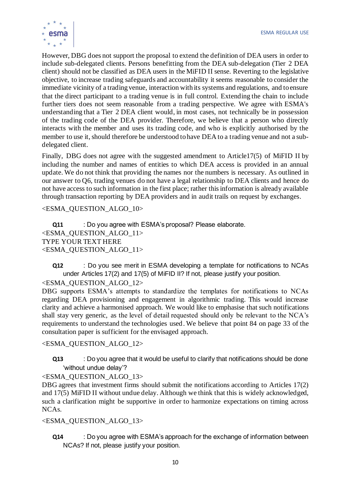

However, DBG does not support the proposal to extend the definition of DEA users in order to include sub-delegated clients. Persons benefitting from the DEA sub-delegation (Tier 2 DEA client) should not be classified as DEA users in the MiFID II sense. Reverting to the legislative objective, to increase trading safeguards and accountability it seems reasonable to consider the immediate vicinity of a trading venue, interaction with its systems and regulations, and to ensure that the direct participant to a trading venue is in full control. Extending the chain to include further tiers does not seem reasonable from a trading perspective. We agree with ESMA's understanding that a Tier 2 DEA client would, in most cases, not technically be in possession of the trading code of the DEA provider. Therefore, we believe that a person who directly interacts with the member and uses its trading code, and who is explicitly authorised by the member to use it, should therefore be understood to have DEA to a trading venue and not a subdelegated client.

Finally, DBG does not agree with the suggested amendment to Article17(5) of MiFID II by including the number and names of entities to which DEA access is provided in an annual update. We do not think that providing the names nor the numbers is necessary. As outlined in our answer to Q6, trading venues do not have a legal relationship to DEA clients and hence do not have access to such information in the first place; rather this information is already available through transaction reporting by DEA providers and in audit trails on request by exchanges.

<ESMA\_QUESTION\_ALGO\_10>

**Q11** : Do you agree with ESMA's proposal? Please elaborate. <ESMA\_QUESTION\_ALGO\_11> TYPE YOUR TEXT HERE <ESMA\_QUESTION\_ALGO\_11>

**Q12** : Do you see merit in ESMA developing a template for notifications to NCAs under Articles 17(2) and 17(5) of MiFID II? If not, please justify your position.

# <ESMA\_QUESTION\_ALGO\_12>

DBG supports ESMA's attempts to standardize the templates for notifications to NCAs regarding DEA provisioning and engagement in algorithmic trading. This would increase clarity and achieve a harmonised approach. We would like to emphasise that such notifications shall stay very generic, as the level of detail requested should only be relevant to the NCA's requirements to understand the technologies used. We believe that point 84 on page 33 of the consultation paper is sufficient for the envisaged approach.

<ESMA\_QUESTION\_ALGO\_12>

**Q13** : Do you agree that it would be useful to clarify that notifications should be done 'without undue delay'?

<ESMA\_QUESTION\_ALGO\_13>

DBG agrees that investment firms should submit the notifications according to Articles 17(2) and 17(5) MiFID II without undue delay. Although we think that this is widely acknowledged, such a clarification might be supportive in order to harmonize expectations on timing across NCAs.

<ESMA\_QUESTION\_ALGO\_13>

**Q14** : Do you agree with ESMA's approach for the exchange of information between NCAs? If not, please justify your position.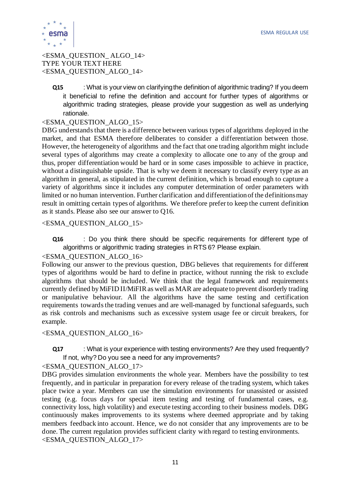

#### <ESMA\_QUESTION\_ ALGO\_14> TYPE YOUR TEXT HERE <ESMA\_QUESTION\_ALGO\_14>

**Q15** : What is your view on clarifying the definition of algorithmic trading? If you deem it beneficial to refine the definition and account for further types of algorithms or algorithmic trading strategies, please provide your suggestion as well as underlying rationale.

#### <ESMA\_QUESTION\_ALGO\_15>

DBG understands that there is a difference between various types of algorithms deployed in the market, and that ESMA therefore deliberates to consider a differentiation between those. However, the heterogeneity of algorithms and the fact that one trading algorithm might include several types of algorithms may create a complexity to allocate one to any of the group and thus, proper differentiation would be hard or in some cases impossible to achieve in practice, without a distinguishable upside. That is why we deem it necessary to classify every type as an algorithm in general, as stipulated in the current definition, which is broad enough to capture a variety of algorithms since it includes any computer determination of order parameters with limited or no human intervention. Further clarification and differentiation of the definitions may result in omitting certain types of algorithms. We therefore prefer to keep the current definition as it stands. Please also see our answer to Q16.

#### <ESMA\_QUESTION\_ALGO\_15>

**Q16** : Do you think there should be specific requirements for different type of algorithms or algorithmic trading strategies in RTS 6? Please explain.

#### <ESMA\_QUESTION\_ALGO\_16>

Following our answer to the previous question, DBG believes that requirements for different types of algorithms would be hard to define in practice, without running the risk to exclude algorithms that should be included. We think that the legal framework and requirements currently defined by MiFID II/MiFIR as well as MAR are adequate to prevent disorderly trading or manipulative behaviour. All the algorithms have the same testing and certification requirements towards the trading venues and are well-managed by functional safeguards, such as risk controls and mechanisms such as excessive system usage fee or circuit breakers, for example.

#### <ESMA\_QUESTION\_ALGO\_16>

# **Q17** : What is your experience with testing environments? Are they used frequently? If not, why? Do you see a need for any improvements?

#### <ESMA\_QUESTION\_ALGO\_17>

DBG provides simulation environments the whole year. Members have the possibility to test frequently, and in particular in preparation for every release of the trading system, which takes place twice a year. Members can use the simulation environments for unassisted or assisted testing (e.g. focus days for special item testing and testing of fundamental cases, e.g. connectivity loss, high volatility) and execute testing according to their business models. DBG continuously makes improvements to its systems where deemed appropriate and by taking members feedback into account. Hence, we do not consider that any improvements are to be done. The current regulation provides sufficient clarity with regard to testing environments. <ESMA\_QUESTION\_ALGO\_17>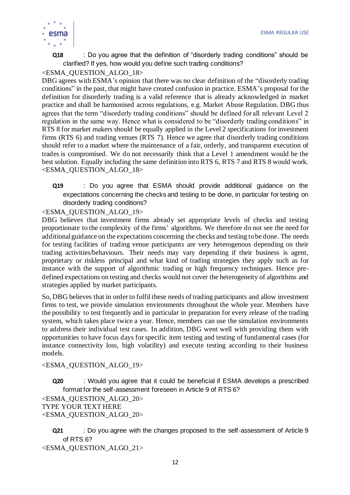

**Q18** : Do you agree that the definition of "disorderly trading conditions" should be clarified? If yes, how would you define such trading conditions?

# <ESMA\_QUESTION\_ALGO\_18>

DBG agrees with ESMA's opinion that there was no clear definition of the "disorderly trading conditions" in the past, that might have created confusion in practice. ESMA's proposal for the definition for disorderly trading is a valid reference that is already acknowledged in market practice and shall be harmonised across regulations, e.g. Market Abuse Regulation. DBG thus agrees that the term "disorderly trading conditions" should be defined for all relevant Level 2 regulation in the same way. Hence what is considered to be "disorderly trading conditions" in RTS 8 for market makers should be equally applied in the Level 2 specifications for investment firms (RTS 6) and trading venues (RTS 7). Hence we agree that disorderly trading conditions should refer to a market where the maintenance of a fair, orderly, and transparent execution of trades is compromised. We do not necessarily think that a Level 1 amendment would be the best solution. Equally including the same definition into RTS 6, RTS 7 and RTS 8 would work. <ESMA\_QUESTION\_ALGO\_18>

**Q19** : Do you agree that ESMA should provide additional guidance on the expectations concerning the checks and testing to be done, in particular for testing on disorderly trading conditions?

#### <ESMA\_QUESTION\_ALGO\_19>

DBG believes that investment firms already set appropriate levels of checks and testing proportionate to the complexity of the firms' algorithms. We therefore do not see the need for additional guidance on the expectations concerning the checks and testing to be done. The needs for testing facilities of trading venue participants are very heterogenous depending on their trading activities/behaviours. Their needs may vary depending if their business is agent, proprietary or riskless principal and what kind of trading strategies they apply such as for instance with the support of algorithmic trading or high frequency techniques. Hence predefined expectations on testing and checks would not cover the heterogeneity of algorithms and strategies applied by market participants.

So, DBG believes that in order to fulfil these needs of trading participants and allow investment firms to test, we provide simulation environments throughout the whole year. Members have the possibility to test frequently and in particular in preparation for every release of the trading system, which takes place twice a year. Hence, members can use the simulation environments to address their individual test cases. In addition, DBG went well with providing them with opportunities to have focus days for specific item testing and testing of fundamental cases (for instance connectivity loss, high volatility) and execute testing according to their business models.

#### <ESMA\_QUESTION\_ALGO\_19>

**Q20** : Would you agree that it could be beneficial if ESMA develops a prescribed format for the self-assessment foreseen in Article 9 of RTS 6?

```
<ESMA_QUESTION_ALGO_20>
TYPE YOUR TEXT HERE
<ESMA_QUESTION_ALGO_20>
```
**Q21** : Do you agree with the changes proposed to the self-assessment of Article 9 of RTS 6?

<ESMA\_QUESTION\_ALGO\_21>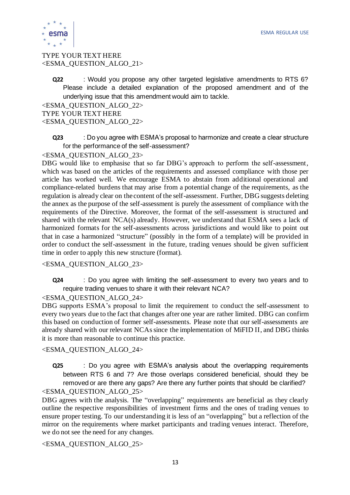

#### TYPE YOUR TEXT HERE <ESMA\_QUESTION\_ALGO\_21>

**Q22** : Would you propose any other targeted legislative amendments to RTS 6? Please include a detailed explanation of the proposed amendment and of the underlying issue that this amendment would aim to tackle.

```
<ESMA_QUESTION_ALGO_22>
TYPE YOUR TEXT HERE
<ESMA_QUESTION_ALGO_22>
```
**Q23** : Do you agree with ESMA's proposal to harmonize and create a clear structure for the performance of the self-assessment?

#### <ESMA\_QUESTION\_ALGO\_23>

DBG would like to emphasise that so far DBG's approach to perform the self-assessment, which was based on the articles of the requirements and assessed compliance with those per article has worked well. We encourage ESMA to abstain from additional operational and compliance-related burdens that may arise from a potential change of the requirements, as the regulation is already clear on the content of the self-assessment. Further, DBG suggests deleting the annex as the purpose of the self-assessment is purely the assessment of compliance with the requirements of the Directive. Moreover, the format of the self-assessment is structured and shared with the relevant NCA(s) already. However, we understand that ESMA sees a lack of harmonized formats for the self-assessments across jurisdictions and would like to point out that in case a harmonized "structure" (possibly in the form of a template) will be provided in order to conduct the self-assessment in the future, trading venues should be given sufficient time in order to apply this new structure (format).

#### <ESMA\_QUESTION\_ALGO\_23>

**Q24** : Do you agree with limiting the self-assessment to every two years and to require trading venues to share it with their relevant NCA?

#### <ESMA\_QUESTION\_ALGO\_24>

DBG supports ESMA's proposal to limit the requirement to conduct the self-assessment to every two years due to the fact that changes after one year are rather limited. DBG can confirm this based on conduction of former self-assessments. Please note that our self-assessments are already shared with our relevant NCAssince the implementation of MiFID II, and DBG thinks it is more than reasonable to continue this practice.

#### <ESMA\_QUESTION\_ALGO\_24>

**Q25** : Do you agree with ESMA's analysis about the overlapping requirements between RTS 6 and 7? Are those overlaps considered beneficial, should they be removed or are there any gaps? Are there any further points that should be clarified? <ESMA\_QUESTION\_ALGO\_25>

DBG agrees with the analysis. The "overlapping" requirements are beneficial as they clearly outline the respective responsibilities of investment firms and the ones of trading venues to ensure proper testing. To our understanding it is less of an "overlapping" but a reflection of the mirror on the requirements where market participants and trading venues interact. Therefore, we do not see the need for any changes.

#### <ESMA\_QUESTION\_ALGO\_25>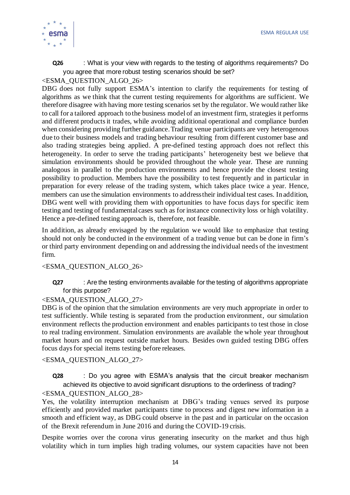

**Q26** : What is your view with regards to the testing of algorithms requirements? Do you agree that more robust testing scenarios should be set?

#### <ESMA\_QUESTION\_ALGO\_26>

DBG does not fully support ESMA's intention to clarify the requirements for testing of algorithms as we think that the current testing requirements for algorithms are sufficient. We therefore disagree with having more testing scenarios set by the regulator. We would rather like to call for a tailored approach to the business model of an investment firm, strategies it performs and different products it trades, while avoiding additional operational and compliance burden when considering providing further guidance. Trading venue participants are very heterogenous due to their business models and trading behaviour resulting from different customer base and also trading strategies being applied. A pre-defined testing approach does not reflect this heterogeneity. In order to serve the trading participants' heterogeneity best we believe that simulation environments should be provided throughout the whole year. These are running analogous in parallel to the production environments and hence provide the closest testing possibility to production. Members have the possibility to test frequently and in particular in preparation for every release of the trading system, which takes place twice a year. Hence, members can use the simulation environments to address their individual test cases. In addition, DBG went well with providing them with opportunities to have focus days for specific item testing and testing of fundamental cases such as for instance connectivity loss or high volatility. Hence a pre-defined testing approach is, therefore, not feasible.

In addition, as already envisaged by the regulation we would like to emphasize that testing should not only be conducted in the environment of a trading venue but can be done in firm's or third party environment depending on and addressing the individual needs of the investment firm.

#### <ESMA\_QUESTION\_ALGO\_26>

#### **Q27** : Are the testing environments available for the testing of algorithms appropriate for this purpose?

#### <ESMA\_QUESTION\_ALGO\_27>

DBG is of the opinion that the simulation environments are very much appropriate in order to test sufficiently. While testing is separated from the production environment, our simulation environment reflects the production environment and enables participants to test those in close to real trading environment. Simulation environments are available the whole year throughout market hours and on request outside market hours. Besides own guided testing DBG offers focus days for special items testing before releases.

<ESMA\_QUESTION\_ALGO\_27>

**Q28** : Do you agree with ESMA's analysis that the circuit breaker mechanism achieved its objective to avoid significant disruptions to the orderliness of trading?

#### <ESMA\_QUESTION\_ALGO\_28>

Yes, the volatility interruption mechanism at DBG's trading venues served its purpose efficiently and provided market participants time to process and digest new information in a smooth and efficient way, as DBG could observe in the past and in particular on the occasion of the Brexit referendum in June 2016 and during the COVID-19 crisis.

Despite worries over the corona virus generating insecurity on the market and thus high volatility which in turn implies high trading volumes, our system capacities have not been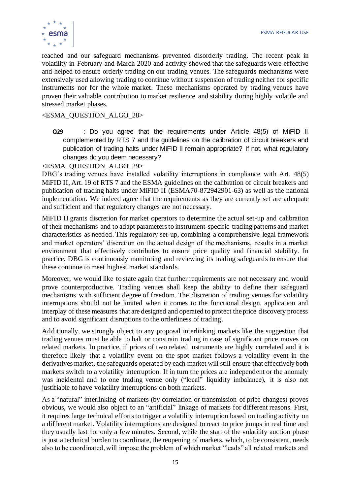

reached and our safeguard mechanisms prevented disorderly trading. The recent peak in volatility in February and March 2020 and activity showed that the safeguards were effective and helped to ensure orderly trading on our trading venues. The safeguards mechanisms were extensively used allowing trading to continue without suspension of trading neither for specific instruments nor for the whole market. These mechanisms operated by trading venues have proven their valuable contribution to market resilience and stability during highly volatile and stressed market phases.

#### <ESMA\_QUESTION\_ALGO\_28>

**Q29** : Do you agree that the requirements under Article 48(5) of MiFID II complemented by RTS 7 and the guidelines on the calibration of circuit breakers and publication of trading halts under MiFID II remain appropriate? If not, what regulatory changes do you deem necessary?

#### <ESMA\_QUESTION\_ALGO\_29>

DBG's trading venues have installed volatility interruptions in compliance with Art. 48(5) MiFID II, Art. 19 of RTS 7 and the ESMA guidelines on the calibration of circuit breakers and publication of trading halts under MiFID II (ESMA70-872942901-63) as well as the national implementation. We indeed agree that the requirements as they are currently set are adequate and sufficient and that regulatory changes are not necessary.

MiFID II grants discretion for market operators to determine the actual set-up and calibration of their mechanisms and to adapt parameters to instrument-specific trading patterns and market characteristics as needed. This regulatory set-up, combining a comprehensive legal framework and market operators' discretion on the actual design of the mechanisms, results in a market environment that effectively contributes to ensure price quality and financial stability. In practice, DBG is continuously monitoring and reviewing its trading safeguards to ensure that these continue to meet highest market standards.

Moreover, we would like to state again that further requirements are not necessary and would prove counterproductive. Trading venues shall keep the ability to define their safeguard mechanisms with sufficient degree of freedom. The discretion of trading venues for volatility interruptions should not be limited when it comes to the functional design, application and interplay of these measures that are designed and operated to protect the price discovery process and to avoid significant disruptions to the orderliness of trading.

Additionally, we strongly object to any proposal interlinking markets like the suggestion that trading venues must be able to halt or constrain trading in case of significant price moves on related markets. In practice, if prices of two related instruments are highly correlated and it is therefore likely that a volatility event on the spot market follows a volatility event in the derivatives market, the safeguards operated by each market will still ensure that effectively both markets switch to a volatility interruption. If in turn the prices are independent or the anomaly was incidental and to one trading venue only ("local" liquidity imbalance), it is also not justifiable to have volatility interruptions on both markets.

As a "natural" interlinking of markets (by correlation or transmission of price changes) proves obvious, we would also object to an "artificial" linkage of markets for different reasons. First, it requires large technical efforts to trigger a volatility interruption based on trading activity on a different market. Volatility interruptions are designed to react to price jumps in real time and they usually last for only a few minutes. Second, while the start of the volatility auction phase is just a technical burden to coordinate, the reopening of markets, which, to be consistent, needs also to be coordinated, will impose the problem of which market "leads" all related markets and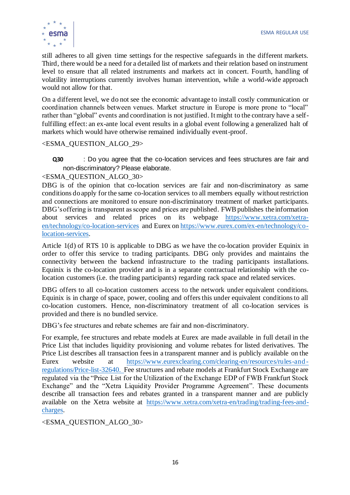

still adheres to all given time settings for the respective safeguards in the different markets. Third, there would be a need for a detailed list of markets and their relation based on instrument level to ensure that all related instruments and markets act in concert. Fourth, handling of volatility interruptions currently involves human intervention, while a world-wide approach would not allow for that.

On a different level, we do not see the economic advantage to install costly communication or coordination channels between venues. Market structure in Europe is more prone to "local" rather than "global" events and coordination is not justified. It might to the contrary have a selffulfilling effect: an ex-ante local event results in a global event following a generalized halt of markets which would have otherwise remained individually event-proof.

<ESMA\_QUESTION\_ALGO\_29>

**Q30** : Do you agree that the co-location services and fees structures are fair and non-discriminatory? Please elaborate.

#### <ESMA\_QUESTION\_ALGO\_30>

DBG is of the opinion that co-location services are fair and non-discriminatory as same conditions do apply for the same co-location services to all members equally without restriction and connections are monitored to ensure non-discriminatory treatment of market participants. DBG's offering is transparent as scope and prices are published. FWB publishes the information about services and related prices on its webpage [https://www.xetra.com/xetra](https://www.xetra.com/xetra-en/technology/co-location-services)[en/technology/co-location-services](https://www.xetra.com/xetra-en/technology/co-location-services) and Eurex on [https://www.eurex.com/ex-en/technology/co](https://www.eurex.com/ex-en/technology/co-location-services)[location-services.](https://www.eurex.com/ex-en/technology/co-location-services) 

Article 1(d) of RTS 10 is applicable to DBG as we have the co-location provider Equinix in order to offer this service to trading participants. DBG only provides and maintains the connectivity between the backend infrastructure to the trading participants installations. Equinix is the co-location provider and is in a separate contractual relationship with the colocation customers (i.e. the trading participants) regarding rack space and related services.

DBG offers to all co-location customers access to the network under equivalent conditions. Equinix is in charge of space, power, cooling and offers this under equivalent conditions to all co-location customers. Hence, non-discriminatory treatment of all co-location services is provided and there is no bundled service.

DBG's fee structures and rebate schemes are fair and non-discriminatory.

For example, fee structures and rebate models at Eurex are made available in full detail in the Price List that includes liquidity provisioning and volume rebates for listed derivatives. The Price List describes all transaction fees in a transparent manner and is publicly available on the Eurex website at [https://www.eurexclearing.com/clearing-en/resources/rules-and](https://www.eurexclearing.com/clearing-en/resources/rules-and-regulations/Price-list-32640) [regulations/Price-list-32640.](https://www.eurexclearing.com/clearing-en/resources/rules-and-regulations/Price-list-32640) Fee structures and rebate models at Frankfurt Stock Exchange are regulated via the "Price List for the Utilization of the Exchange EDP of FWB Frankfurt Stock Exchange" and the "Xetra Liquidity Provider Programme Agreement". These documents describe all transaction fees and rebates granted in a transparent manner and are publicly available on the Xetra website at [https://www.xetra.com/xetra-en/trading/trading-fees-and](https://www.xetra.com/xetra-en/trading/trading-fees-and-charges)[charges.](https://www.xetra.com/xetra-en/trading/trading-fees-and-charges)

<ESMA\_QUESTION\_ALGO\_30>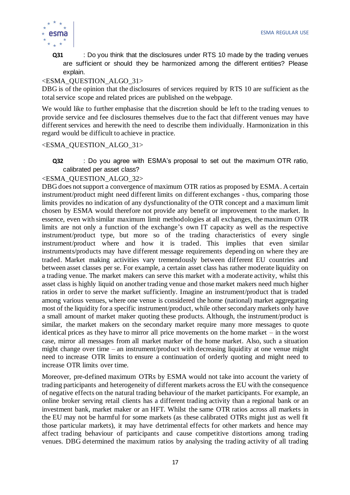

**Q31** : Do you think that the disclosures under RTS 10 made by the trading venues are sufficient or should they be harmonized among the different entities? Please explain.

#### <ESMA\_QUESTION\_ALGO\_31>

DBG is of the opinion that the disclosures of services required by RTS 10 are sufficient as the total service scope and related prices are published on the webpage.

We would like to further emphasise that the discretion should be left to the trading venues to provide service and fee disclosures themselves due to the fact that different venues may have different services and herewith the need to describe them individually. Harmonization in this regard would be difficult to achieve in practice.

### <ESMA\_QUESTION\_ALGO\_31>

**Q32** : Do you agree with ESMA's proposal to set out the maximum OTR ratio, calibrated per asset class?

#### <ESMA\_QUESTION\_ALGO\_32>

DBG does not support a convergence of maximum OTR ratios as proposed by ESMA. A certain instrument/product might need different limits on different exchanges - thus, comparing those limits provides no indication of any dysfunctionality of the OTR concept and a maximum limit chosen by ESMA would therefore not provide any benefit or improvement to the market. In essence, even with similar maximum limit methodologies at all exchanges, the maximum OTR limits are not only a function of the exchange's own IT capacity as well as the respective instrument/product type, but more so of the trading characteristics of every single instrument/product where and how it is traded. This implies that even similar instruments/products may have different message requirements depending on where they are traded. Market making activities vary tremendously between different EU countries and between asset classes per se. For example, a certain asset class has rather moderate liquidity on a trading venue. The market makers can serve this market with a moderate activity, whilst this asset class is highly liquid on another trading venue and those market makers need much higher ratios in order to serve the market sufficiently. Imagine an instrument/product that is traded among various venues, where one venue is considered the home (national) market aggregating most of the liquidity for a specific instrument/product, while other secondary markets only have a small amount of market maker quoting these products. Although, the instrument/product is similar, the market makers on the secondary market require many more messages to quote identical prices as they have to mirror all price movements on the home market – in the worst case, mirror all messages from all market marker of the home market. Also, such a situation might change over time – an instrument/product with decreasing liquidity at one venue might need to increase OTR limits to ensure a continuation of orderly quoting and might need to increase OTR limits over time.

Moreover, pre-defined maximum OTRs by ESMA would not take into account the variety of trading participants and heterogeneity of different markets across the EU with the consequence of negative effects on the natural trading behaviour of the market participants. For example, an online broker serving retail clients has a different trading activity than a regional bank or an investment bank, market maker or an HFT. Whilst the same OTR ratios across all markets in the EU may not be harmful for some markets (as these calibrated OTRs might just as well fit those particular markets), it may have detrimental effects for other markets and hence may affect trading behaviour of participants and cause competitive distortions among trading venues. DBG determined the maximum ratios by analysing the trading activity of all trading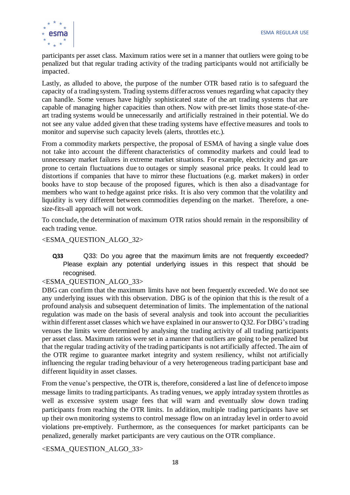

participants per asset class. Maximum ratios were set in a manner that outliers were going to be penalized but that regular trading activity of the trading participants would not artificially be impacted.

Lastly, as alluded to above, the purpose of the number OTR based ratio is to safeguard the capacity of a trading system. Trading systems differ across venues regarding what capacity they can handle. Some venues have highly sophisticated state of the art trading systems that are capable of managing higher capacities than others. Now with pre-set limits those state-of-theart trading systems would be unnecessarily and artificially restrained in their potential. We do not see any value added given that these trading systems have effective measures and tools to monitor and supervise such capacity levels (alerts, throttles etc.).

From a commodity markets perspective, the proposal of ESMA of having a single value does not take into account the different characteristics of commodity markets and could lead to unnecessary market failures in extreme market situations. For example, electricity and gas are prone to certain fluctuations due to outages or simply seasonal price peaks. It could lead to distortions if companies that have to mirror these fluctuations (e.g. market makers) in order books have to stop because of the proposed figures, which is then also a disadvantage for members who want to hedge against price risks. It is also very common that the volatility and liquidity is very different between commodities depending on the market. Therefore, a onesize-fits-all approach will not work.

To conclude, the determination of maximum OTR ratios should remain in the responsibility of each trading venue.

#### <ESMA\_QUESTION\_ALGO\_32>

**Q33** Q33: Do you agree that the maximum limits are not frequently exceeded? Please explain any potential underlying issues in this respect that should be recognised.

#### <ESMA\_QUESTION\_ALGO\_33>

DBG can confirm that the maximum limits have not been frequently exceeded. We do not see any underlying issues with this observation. DBG is of the opinion that this is the result of a profound analysis and subsequent determination of limits. The implementation of the national regulation was made on the basis of several analysis and took into account the peculiarities within different asset classes which we have explained in our answer to Q32. For DBG's trading venues the limits were determined by analysing the trading activity of all trading participants per asset class. Maximum ratios were set in a manner that outliers are going to be penalized but that the regular trading activity of the trading participants is not artificially affected. The aim of the OTR regime to guarantee market integrity and system resiliency, whilst not artificially influencing the regular trading behaviour of a very heterogeneous trading participant base and different liquidity in asset classes.

From the venue's perspective, the OTR is, therefore, considered a last line of defence to impose message limits to trading participants. As trading venues, we apply intraday system throttles as well as excessive system usage fees that will warn and eventually slow down trading participants from reaching the OTR limits. In addition, multiple trading participants have set up their own monitoring systems to control message flow on an intraday level in order to avoid violations pre-emptively. Furthermore, as the consequences for market participants can be penalized, generally market participants are very cautious on the OTR compliance.

<ESMA\_QUESTION\_ALGO\_33>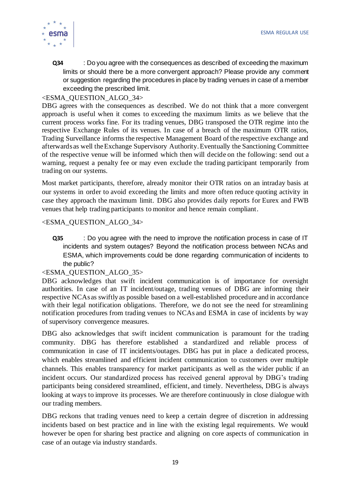

**Q34** : Do you agree with the consequences as described of exceeding the maximum limits or should there be a more convergent approach? Please provide any comment or suggestion regarding the procedures in place by trading venues in case of a member exceeding the prescribed limit.

#### <ESMA\_QUESTION\_ALGO\_34>

DBG agrees with the consequences as described. We do not think that a more convergent approach is useful when it comes to exceeding the maximum limits as we believe that the current process works fine. For its trading venues, DBG transposed the OTR regime into the respective Exchange Rules of its venues. In case of a breach of the maximum OTR ratios, Trading Surveillance informs the respective Management Board of the respective exchange and afterwards as well the Exchange Supervisory Authority.Eventually the Sanctioning Committee of the respective venue will be informed which then will decide on the following: send out a warning, request a penalty fee or may even exclude the trading participant temporarily from trading on our systems.

Most market participants, therefore, already monitor their OTR ratios on an intraday basis at our systems in order to avoid exceeding the limits and more often reduce quoting activity in case they approach the maximum limit. DBG also provides daily reports for Eurex and FWB venues that help trading participants to monitor and hence remain compliant.

#### <ESMA\_QUESTION\_ALGO\_34>

**Q35** : Do you agree with the need to improve the notification process in case of IT incidents and system outages? Beyond the notification process between NCAs and ESMA, which improvements could be done regarding communication of incidents to the public?

#### <ESMA\_QUESTION\_ALGO\_35>

DBG acknowledges that swift incident communication is of importance for oversight authorities. In case of an IT incident/outage, trading venues of DBG are informing their respective NCAs as swiftly as possible based on a well-established procedure and in accordance with their legal notification obligations. Therefore, we do not see the need for streamlining notification procedures from trading venues to NCAs and ESMA in case of incidents by way of supervisory convergence measures.

DBG also acknowledges that swift incident communication is paramount for the trading community. DBG has therefore established a standardized and reliable process of communication in case of IT incidents/outages. DBG has put in place a dedicated process, which enables streamlined and efficient incident communication to customers over multiple channels. This enables transparency for market participants as well as the wider public if an incident occurs. Our standardized process has received general approval by DBG's trading participants being considered streamlined, efficient, and timely. Nevertheless, DBG is always looking at ways to improve its processes. We are therefore continuously in close dialogue with our trading members.

DBG reckons that trading venues need to keep a certain degree of discretion in addressing incidents based on best practice and in line with the existing legal requirements. We would however be open for sharing best practice and aligning on core aspects of communication in case of an outage via industry standards.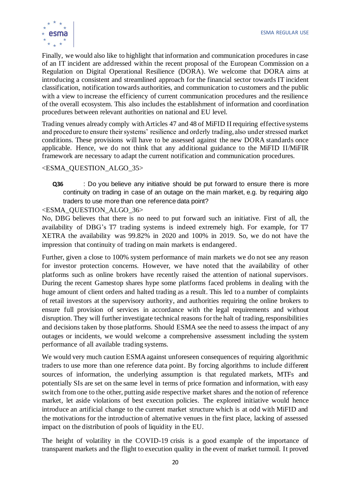

Finally, we would also like to highlight that information and communication procedures in case of an IT incident are addressed within the recent proposal of the European Commission on a Regulation on Digital Operational Resilience (DORA). We welcome that DORA aims at introducing a consistent and streamlined approach for the financial sector towards IT incident classification, notification towards authorities, and communication to customers and the public with a view to increase the efficiency of current communication procedures and the resilience of the overall ecosystem. This also includes the establishment of information and coordination procedures between relevant authorities on national and EU level.

Trading venues already comply with Articles 47 and 48 of MiFID II requiring effective systems and procedure to ensure their systems' resilience and orderly trading, also under stressed market conditions. These provisions will have to be assessed against the new DORA standards once applicable. Hence, we do not think that any additional guidance to the MiFID II/MiFIR framework are necessary to adapt the current notification and communication procedures.

<ESMA\_QUESTION\_ALGO\_35>

**Q36** : Do you believe any initiative should be put forward to ensure there is more continuity on trading in case of an outage on the main market, e.g. by requiring algo traders to use more than one reference data point?

<ESMA\_QUESTION\_ALGO\_36>

No, DBG believes that there is no need to put forward such an initiative. First of all, the availability of DBG's T7 trading systems is indeed extremely high. For example, for T7 XETRA the availability was 99.82% in 2020 and 100% in 2019. So, we do not have the impression that continuity of trading on main markets is endangered.

Further, given a close to 100% system performance of main markets we do not see any reason for investor protection concerns. However, we have noted that the availability of other platforms such as online brokers have recently raised the attention of national supervisors. During the recent Gamestop shares hype some platforms faced problems in dealing with the huge amount of client orders and halted trading as a result. This led to a number of complaints of retail investors at the supervisory authority, and authorities requiring the online brokers to ensure full provision of services in accordance with the legal requirements and without disruption. They will further investigate technical reasons for the halt of trading, responsibilities and decisions taken by those platforms. Should ESMA see the need to assess the impact of any outages or incidents, we would welcome a comprehensive assessment including the system performance of all available trading systems.

We would very much caution ESMA against unforeseen consequences of requiring algorithmic traders to use more than one reference data point. By forcing algorithms to include different sources of information, the underlying assumption is that regulated markets, MTFs and potentially SIs are set on the same level in terms of price formation and information, with easy switch from one to the other, putting aside respective market shares and the notion of reference market, let aside violations of best execution policies. The explored initiative would hence introduce an artificial change to the current market structure which is at odd with MiFID and the motivations for the introduction of alternative venues in the first place, lacking of assessed impact on the distribution of pools of liquidity in the EU.

The height of volatility in the COVID-19 crisis is a good example of the importance of transparent markets and the flight to execution quality in the event of market turmoil. It proved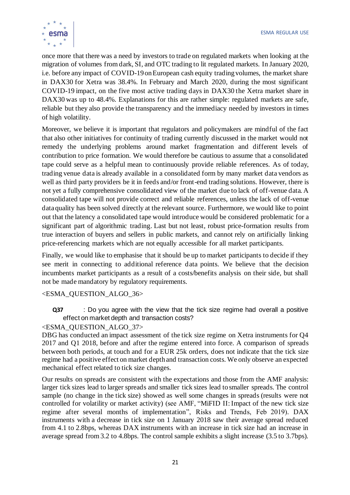

once more that there was a need by investors to trade on regulated markets when looking at the migration of volumes from dark, SI, and OTC trading to lit regulated markets. In January 2020, i.e. before any impact of COVID-19on European cash equity trading volumes, the market share in DAX30 for Xetra was 38.4%. In February and March 2020, during the most significant COVID-19 impact, on the five most active trading days in DAX30 the Xetra market share in DAX30 was up to 48.4%. Explanations for this are rather simple: regulated markets are safe, reliable but they also provide the transparency and the immediacy needed by investors in times of high volatility.

Moreover, we believe it is important that regulators and policymakers are mindful of the fact that also other initiatives for continuity of trading currently discussed in the market would not remedy the underlying problems around market fragmentation and different levels of contribution to price formation. We would therefore be cautious to assume that a consolidated tape could serve as a helpful mean to continuously provide reliable references. As of today, trading venue data is already available in a consolidated form by many market data vendors as well as third party providers be it in feeds and/or front-end trading solutions. However, there is not yet a fully comprehensive consolidated view of the market due to lack of off-venue data. A consolidated tape will not provide correct and reliable references, unless the lack of off-venue dataquality has been solved directly at the relevant source. Furthermore, we would like to point out that the latency a consolidated tape would introduce would be considered problematic for a significant part of algorithmic trading. Last but not least, robust price-formation results from true interaction of buyers and sellers in public markets, and cannot rely on artificially linking price-referencing markets which are not equally accessible for all market participants.

Finally, we would like to emphasise that it should be up to market participants to decide if they see merit in connecting to additional reference data points. We believe that the decision incumbents market participants as a result of a costs/benefits analysis on their side, but shall not be made mandatory by regulatory requirements.

#### <ESMA\_QUESTION\_ALGO\_36>

**Q37** : Do you agree with the view that the tick size regime had overall a positive effect on market depth and transaction costs?

#### <ESMA\_QUESTION\_ALGO\_37>

DBG has conducted an impact assessment of the tick size regime on Xetra instruments for Q4 2017 and Q1 2018, before and after the regime entered into force. A comparison of spreads between both periods, at touch and for a EUR 25k orders, does not indicate that the tick size regime had a positive effect on market depth and transaction costs. We only observe an expected mechanical effect related to tick size changes.

Our results on spreads are consistent with the expectations and those from the AMF analysis: larger tick sizes lead to larger spreads and smaller tick sizes lead to smaller spreads. The control sample (no change in the tick size) showed as well some changes in spreads (results were not controlled for volatility or market activity) (see AMF, "MiFID II: Impact of the new tick size regime after several months of implementation", Risks and Trends, Feb 2019). DAX instruments with a decrease in tick size on 1 January 2018 saw their average spread reduced from 4.1 to 2.8bps, whereas DAX instruments with an increase in tick size had an increase in average spread from 3.2 to 4.8bps. The control sample exhibits a slight increase (3.5 to 3.7bps).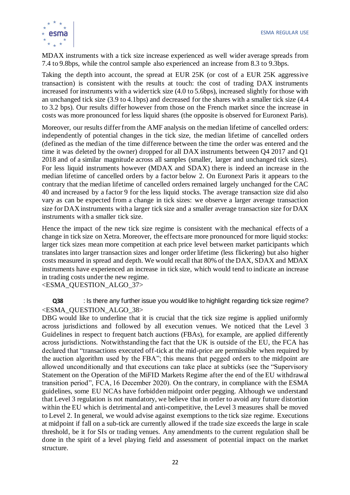

MDAX instruments with a tick size increase experienced as well wider average spreads from 7.4 to 9.8bps, while the control sample also experienced an increase from 8.3 to 9.3bps.

Taking the depth into account, the spread at EUR 25K (or cost of a EUR 25K aggressive transaction) is consistent with the results at touch: the cost of trading DAX instruments increased for instruments with a wider tick size (4.0 to 5.6bps), increased slightly for those with an unchanged tick size (3.9 to 4.1bps) and decreased for the shares with a smaller tick size (4.4 to 3.2 bps). Our results differ however from those on the French market since the increase in costs was more pronounced for less liquid shares (the opposite is observed for Euronext Paris).

Moreover, our results differ from the AMF analysis on the median lifetime of cancelled orders: independently of potential changes in the tick size, the median lifetime of cancelled orders (defined as the median of the time difference between the time the order was entered and the time it was deleted by the owner) dropped for all DAX instruments between Q4 2017 and Q1 2018 and of a similar magnitude across all samples (smaller, larger and unchanged tick sizes). For less liquid instruments however (MDAX and SDAX) there is indeed an increase in the median lifetime of cancelled orders by a factor below 2. On Euronext Paris it appears to the contrary that the median lifetime of cancelled orders remained largely unchanged for the CAC 40 and increased by a factor 9 for the less liquid stocks. The average transaction size did also vary as can be expected from a change in tick sizes: we observe a larger average transaction size for DAX instruments with a larger tick size and a smaller average transaction size for DAX instruments with a smaller tick size.

Hence the impact of the new tick size regime is consistent with the mechanical effects of a change in tick size on Xetra. Moreover, the effects are more pronounced for more liquid stocks: larger tick sizes mean more competition at each price level between market participants which translates into larger transaction sizes and longer order lifetime (less flickering) but also higher costs measured in spread and depth. We would recall that 80% of the DAX, SDAX and MDAX instruments have experienced an increase in tick size, which would tend to indicate an increase in trading costs under the new regime.

<ESMA\_QUESTION\_ALGO\_37>

**Q38** : Is there any further issue you would like to highlight regarding tick size regime? <ESMA\_QUESTION\_ALGO\_38>

DBG would like to underline that it is crucial that the tick size regime is applied uniformly across jurisdictions and followed by all execution venues. We noticed that the Level 3 Guidelines in respect to frequent batch auctions (FBAs), for example, are applied differently across jurisdictions. Notwithstanding the fact that the UK is outside of the EU, the FCA has declared that "transactions executed off-tick at the mid-price are permissible when required by the auction algorithm used by the FBA"; this means that pegged orders to the midpoint are allowed unconditionally and that executions can take place at subticks (see the "Supervisory Statement on the Operation of the MiFID Markets Regime after the end of the EU withdrawal transition period", FCA, 16 December 2020). On the contrary, in compliance with the ESMA guidelines, some EU NCAs have forbidden midpoint order pegging. Although we understand that Level 3 regulation is not mandatory, we believe that in order to avoid any future distortion within the EU which is detrimental and anti-competitive, the Level 3 measures shall be moved to Level 2. In general, we would advise against exemptions to the tick size regime. Executions at midpoint if fall on a sub-tick are currently allowed if the trade size exceeds the large in scale threshold, be it for SIs or trading venues. Any amendments to the current regulation shall be done in the spirit of a level playing field and assessment of potential impact on the market structure.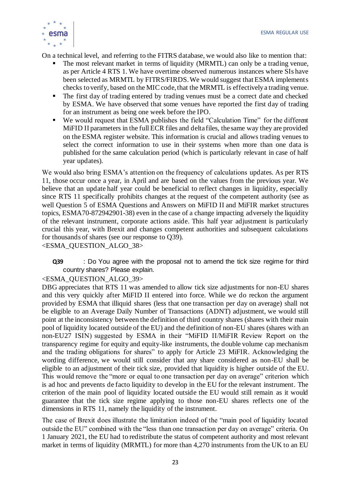

On a technical level, and referring to the FITRS database, we would also like to mention that:

- The most relevant market in terms of liquidity (MRMTL) can only be a trading venue, as per Article 4 RTS 1. We have overtime observed numerous instances where SIs have been selected as MRMTL by FITRS/FIRDS. We would suggest that ESMA implements checks to verify, based on the MIC code, that the MRMTL is effectively a trading venue.
- The first day of trading entered by trading venues must be a correct date and checked by ESMA. We have observed that some venues have reported the first day of trading for an instrument as being one week before the IPO.
- We would request that ESMA publishes the field "Calculation Time" for the different MiFID II parameters in the full ECR files and delta files, the same way they are provided on the ESMA register website. This information is crucial and allows trading venues to select the correct information to use in their systems when more than one data is published for the same calculation period (which is particularly relevant in case of half year updates).

We would also bring ESMA's attention on the frequency of calculations updates. As per RTS 11, those occur once a year, in April and are based on the values from the previous year. We believe that an update half year could be beneficial to reflect changes in liquidity, especially since RTS 11 specifically prohibits changes at the request of the competent authority (see as well Question 5 of ESMA Questions and Answers on MiFID II and MiFIR market structures topics, ESMA70-872942901-38) even in the case of a change impacting adversely the liquidity of the relevant instrument, corporate actions aside. This half year adjustment is particularly crucial this year, with Brexit and changes competent authorities and subsequent calculations for thousands of shares (see our response to Q39).

<ESMA\_QUESTION\_ALGO\_38>

**Q39** : Do You agree with the proposal not to amend the tick size regime for third country shares? Please explain.

<ESMA\_QUESTION\_ALGO\_39>

DBG appreciates that RTS 11 was amended to allow tick size adjustments for non-EU shares and this very quickly after MiFID II entered into force. While we do reckon the argument provided by ESMA that illiquid shares (less that one transaction per day on average) shall not be eligible to an Average Daily Number of Transactions (ADNT) adjustment, we would still point at the inconsistency between the definition of third country shares (shares with their main pool of liquidity located outside of the EU) and the definition of non-EU shares (shares with an non-EU27 ISIN) suggested by ESMA in their "MiFID II/MiFIR Review Report on the transparency regime for equity and equity-like instruments, the double volume cap mechanism and the trading obligations for shares" to apply for Article 23 MiFIR. Acknowledging the wording difference, we would still consider that any share considered as non-EU shall be eligible to an adjustment of their tick size, provided that liquidity is higher outside of the EU. This would remove the "more or equal to one transaction per day on average" criterion which is ad hoc and prevents de facto liquidity to develop in the EU for the relevant instrument. The criterion of the main pool of liquidity located outside the EU would still remain as it would guarantee that the tick size regime applying to those non-EU shares reflects one of the dimensions in RTS 11, namely the liquidity of the instrument.

The case of Brexit does illustrate the limitation indeed of the "main pool of liquidity located outside the EU" combined with the "less than one transaction per day on average" criteria. On 1 January 2021, the EU had to redistribute the status of competent authority and most relevant market in terms of liquidity (MRMTL) for more than 4,270 instruments from the UK to an EU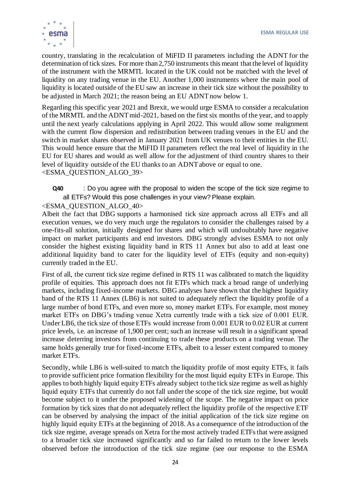

country, translating in the recalculation of MiFID II parameters including the ADNT for the determination of tick sizes. For more than 2,750 instruments this meant that the level of liquidity of the instrument with the MRMTL located in the UK could not be matched with the level of liquidity on any trading venue in the EU. Another 1,000 instruments where the main pool of liquidity is located outside of the EU saw an increase in their tick size without the possibility to be adjusted in March 2021; the reason being an EU ADNT now below 1.

Regarding this specific year 2021 and Brexit, we would urge ESMA to consider a recalculation of the MRMTL and the ADNT mid-2021, based on the first six months of the year, and to apply until the next yearly calculations applying in April 2022. This would allow some realignment with the current flow dispersion and redistribution between trading venues in the EU and the switch in market shares observed in January 2021 from UK venues to their entities in the EU. This would hence ensure that the MiFID II parameters reflect the real level of liquidity in the EU for EU shares and would as well allow for the adjustment of third country shares to their level of liquidity outside of the EU thanks to an ADNT above or equal to one. <ESMA\_QUESTION\_ALGO\_39>

**Q40** : Do you agree with the proposal to widen the scope of the tick size regime to all ETFs? Would this pose challenges in your view? Please explain.

# <ESMA\_QUESTION\_ALGO\_40>

Albeit the fact that DBG supports a harmonised tick size approach across all ETFs and all execution venues, we do very much urge the regulators to consider the challenges raised by a one-fits-all solution, initially designed for shares and which will undoubtably have negative impact on market participants and end investors. DBG strongly advises ESMA to not only consider the highest existing liquidity band in RTS 11 Annex but also to add at least one additional liquidity band to cater for the liquidity level of ETFs (equity and non-equity) currently traded in the EU.

First of all, the current tick size regime defined in RTS 11 was calibrated to match the liquidity profile of equities. This approach does not fit ETFs which track a broad range of underlying markets, including fixed-income markets. DBG analyses have shown that the highest liquidity band of the RTS 11 Annex (LB6) is not suited to adequately reflect the liquidity profile of a large number of bond ETFs, and even more so, money market ETFs. For example, most money market ETFs on DBG's trading venue Xetra currently trade with a tick size of 0.001 EUR. Under LB6, the tick size of those ETFs would increase from 0.001 EUR to 0.02 EUR at current price levels, i.e. an increase of 1,900 per cent; such an increase will result in a significant spread increase deterring investors from continuing to trade these products on a trading venue. The same holds generally true for fixed-income ETFs, albeit to a lesser extent compared to money market ETFs.

Secondly, while LB6 is well-suited to match the liquidity profile of most equity ETFs, it fails to provide sufficient price formation flexibility for the most liquid equity ETFs in Europe. This applies to both highly liquid equity ETFs already subject to the tick size regime as well as highly liquid equity ETFs that currently do not fall under the scope of the tick size regime, but would become subject to it under the proposed widening of the scope. The negative impact on price formation by tick sizes that do not adequately reflect the liquidity profile of the respective ETF can be observed by analysing the impact of the initial application of the tick size regime on highly liquid equity ETFs at the beginning of 2018. As a consequence of the introduction of the tick size regime, average spreads on Xetra for the most actively traded ETFs that were assigned to a broader tick size increased significantly and so far failed to return to the lower levels observed before the introduction of the tick size regime (see our response to the ESMA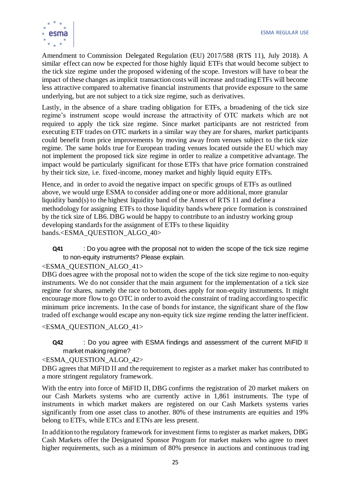

Amendment to Commission Delegated Regulation (EU) 2017/588 (RTS 11), July 2018). A similar effect can now be expected for those highly liquid ETFs that would become subject to the tick size regime under the proposed widening of the scope. Investors will have to bear the impact of these changes as implicit transaction costs will increase and trading ETFs will become less attractive compared to alternative financial instruments that provide exposure to the same underlying, but are not subject to a tick size regime, such as derivatives.

Lastly, in the absence of a share trading obligation for ETFs, a broadening of the tick size regime's instrument scope would increase the attractivity of OTC markets which are not required to apply the tick size regime. Since market participants are not restricted from executing ETF trades on OTC markets in a similar way they are for shares, market participants could benefit from price improvements by moving away from venues subject to the tick size regime. The same holds true for European trading venues located outside the EU which may not implement the proposed tick size regime in order to realize a competitive advantage. The impact would be particularly significant for those ETFs that have price formation constrained by their tick size, i.e. fixed-income, money market and highly liquid equity ETFs.

Hence, and in order to avoid the negative impact on specific groups of ETFs as outlined above, we would urge ESMA to consider adding one or more additional, more granular liquidity band(s) to the highest liquidity band of the Annex of RTS 11 and define a methodology for assigning ETFs to those liquidity bands where price formation is constrained by the tick size of LB6. DBG would be happy to contribute to an industry working group developing standards for the assignment of ETFs to these liquidity bands.<ESMA\_QUESTION\_ALGO\_40>

**Q41** : Do you agree with the proposal not to widen the scope of the tick size regime to non-equity instruments? Please explain.

<ESMA\_QUESTION\_ALGO\_41>

DBG does agree with the proposal not to widen the scope of the tick size regime to non-equity instruments. We do not consider that the main argument for the implementation of a tick size regime for shares, namely the race to bottom, does apply for non-equity instruments. It might encourage more flow to go OTC in order to avoid the constraint of trading according to specific minimum price increments. In the case of bonds for instance, the significant share of the flow traded off exchange would escape any non-equity tick size regime rending the latter inefficient.

<ESMA\_QUESTION\_ALGO\_41>

**Q42** : Do you agree with ESMA findings and assessment of the current MiFID II market making regime?

<ESMA\_QUESTION\_ALGO\_42>

DBG agrees that MiFID II and the requirement to register as a market maker has contributed to a more stringent regulatory framework.

With the entry into force of MiFID II, DBG confirms the registration of 20 market makers on our Cash Markets systems who are currently active in 1,861 instruments. The type of instruments in which market makers are registered on our Cash Markets systems varies significantly from one asset class to another. 80% of these instruments are equities and 19% belong to ETFs, while ETCs and ETNs are less present.

In addition to the regulatory framework for investment firms to register as market makers, DBG Cash Markets offer the Designated Sponsor Program for market makers who agree to meet higher requirements, such as a minimum of 80% presence in auctions and continuous trad ing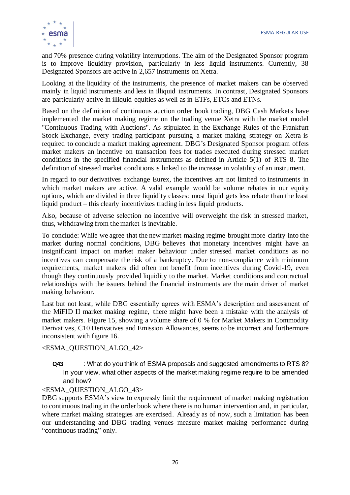

and 70% presence during volatility interruptions. The aim of the Designated Sponsor program is to improve liquidity provision, particularly in less liquid instruments. Currently, 38 Designated Sponsors are active in 2,657 instruments on Xetra.

Looking at the liquidity of the instruments, the presence of market makers can be observed mainly in liquid instruments and less in illiquid instruments. In contrast, Designated Sponsors are particularly active in illiquid equities as well as in ETFs, ETCs and ETNs.

Based on the definition of continuous auction order book trading, DBG Cash Markets have implemented the market making regime on the trading venue Xetra with the market model "Continuous Trading with Auctions". As stipulated in the Exchange Rules of the Frankfurt Stock Exchange, every trading participant pursuing a market making strategy on Xetra is required to conclude a market making agreement. DBG's Designated Sponsor program offers market makers an incentive on transaction fees for trades executed during stressed market conditions in the specified financial instruments as defined in Article 5(1) of RTS 8. The definition of stressed market conditions is linked to the increase in volatility of an instrument.

In regard to our derivatives exchange Eurex, the incentives are not limited to instruments in which market makers are active. A valid example would be volume rebates in our equity options, which are divided in three liquidity classes: most liquid gets less rebate than the least liquid product – this clearly incentivizes trading in less liquid products.

Also, because of adverse selection no incentive will overweight the risk in stressed market, thus, withdrawing from the market is inevitable.

To conclude: While we agree that the new market making regime brought more clarity into the market during normal conditions, DBG believes that monetary incentives might have an insignificant impact on market maker behaviour under stressed market conditions as no incentives can compensate the risk of a bankruptcy. Due to non-compliance with minimum requirements, market makers did often not benefit from incentives during Covid-19, even though they continuously provided liquidity to the market. Market conditions and contractual relationships with the issuers behind the financial instruments are the main driver of market making behaviour.

Last but not least, while DBG essentially agrees with ESMA's description and assessment of the MiFID II market making regime, there might have been a mistake with the analysis of market makers. Figure 15, showing a volume share of 0 % for Market Makers in Commodity Derivatives, C10 Derivatives and Emission Allowances, seems to be incorrect and furthermore inconsistent with figure 16.

<ESMA\_QUESTION\_ALGO\_42>

**Q43** : What do you think of ESMA proposals and suggested amendments to RTS 8? In your view, what other aspects of the market making regime require to be amended and how?

#### <ESMA\_QUESTION\_ALGO\_43>

DBG supports ESMA's view to expressly limit the requirement of market making registration to continuous trading in the order book where there is no human intervention and, in particular, where market making strategies are exercised. Already as of now, such a limitation has been our understanding and DBG trading venues measure market making performance during "continuous trading" only.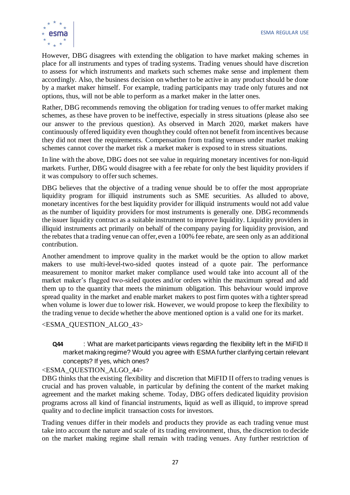

However, DBG disagrees with extending the obligation to have market making schemes in place for all instruments and types of trading systems. Trading venues should have discretion to assess for which instruments and markets such schemes make sense and implement them accordingly. Also, the business decision on whether to be active in any product should be done by a market maker himself. For example, trading participants may trade only futures and not options, thus, will not be able to perform as a market maker in the latter ones.

Rather, DBG recommends removing the obligation for trading venues to offer market making schemes, as these have proven to be ineffective, especially in stress situations (please also see our answer to the previous question). As observed in March 2020, market makers have continuously offered liquidity even though they could often not benefit from incentives because they did not meet the requirements. Compensation from trading venues under market making schemes cannot cover the market risk a market maker is exposed to in stress situations.

In line with the above, DBG does not see value in requiring monetary incentives for non-liquid markets. Further, DBG would disagree with a fee rebate for only the best liquidity providers if it was compulsory to offer such schemes.

DBG believes that the objective of a trading venue should be to offer the most appropriate liquidity program for illiquid instruments such as SME securities. As alluded to above, monetary incentives for the best liquidity provider for illiquid instruments would not add value as the number of liquidity providers for most instruments is generally one. DBG recommends the issuer liquidity contract as a suitable instrument to improve liquidity. Liquidity providers in illiquid instruments act primarily on behalf of the company paying for liquidity provision, and the rebates that a trading venue can offer, even a 100% fee rebate, are seen only as an additional contribution.

Another amendment to improve quality in the market would be the option to allow market makers to use multi-level-two-sided quotes instead of a quote pair. The performance measurement to monitor market maker compliance used would take into account all of the market maker's flagged two-sided quotes and/or orders within the maximum spread and add them up to the quantity that meets the minimum obligation. This behaviour would improve spread quality in the market and enable market makers to post firm quotes with a tighter spread when volume is lower due to lower risk. However, we would propose to keep the flexibility to the trading venue to decide whether the above mentioned option is a valid one for its market.

<ESMA\_QUESTION\_ALGO\_43>

**Q44** : What are market participants views regarding the flexibility left in the MiFID II market making regime? Would you agree with ESMA further clarifying certain relevant concepts? If yes, which ones?

<ESMA\_QUESTION\_ALGO\_44>

DBG thinks that the existing flexibility and discretion that MiFID II offers to trading venues is crucial and has proven valuable, in particular by defining the content of the market making agreement and the market making scheme. Today, DBG offers dedicated liquidity provision programs across all kind of financial instruments, liquid as well as illiquid, to improve spread quality and to decline implicit transaction costs for investors.

Trading venues differ in their models and products they provide as each trading venue must take into account the nature and scale of its trading environment, thus, the discretion to decide on the market making regime shall remain with trading venues. Any further restriction of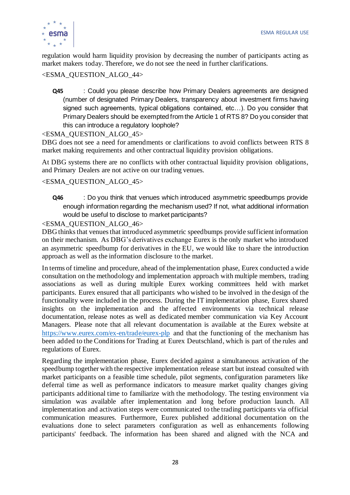

regulation would harm liquidity provision by decreasing the number of participants acting as market makers today. Therefore, we do not see the need in further clarifications.

### <ESMA\_QUESTION\_ALGO\_44>

**Q45** : Could you please describe how Primary Dealers agreements are designed (number of designated Primary Dealers, transparency about investment firms having signed such agreements, typical obligations contained, etc…). Do you consider that Primary Dealers should be exempted from the Article 1 of RTS 8? Do you consider that this can introduce a regulatory loophole?

#### <ESMA\_QUESTION\_ALGO\_45>

DBG does not see a need for amendments or clarifications to avoid conflicts between RTS 8 market making requirements and other contractual liquidity provision obligations.

At DBG systems there are no conflicts with other contractual liquidity provision obligations, and Primary Dealers are not active on our trading venues.

#### <ESMA\_QUESTION\_ALGO\_45>

**Q46** : Do you think that venues which introduced asymmetric speedbumps provide enough information regarding the mechanism used? If not, what additional information would be useful to disclose to market participants?

#### <ESMA\_QUESTION\_ALGO\_46>

DBG thinks that venues that introduced asymmetric speedbumps provide sufficient information on their mechanism. As DBG's derivatives exchange Eurex is the only market who introduced an asymmetric speedbump for derivatives in the EU, we would like to share the introduction approach as well as the information disclosure to the market.

In terms of timeline and procedure, ahead of the implementation phase, Eurex conducted a wide consultation on the methodology and implementation approach with multiple members, trading associations as well as during multiple Eurex working committees held with market participants. Eurex ensured that all participants who wished to be involved in the design of the functionality were included in the process. During the IT implementation phase, Eurex shared insights on the implementation and the affected environments via technical release documentation, release notes as well as dedicated member communication via Key Account Managers. Please note that all relevant documentation is available at the Eurex website at <https://www.eurex.com/ex-en/trade/eurex-plp> and that the functioning of the mechanism has been added to the Conditions for Trading at Eurex Deutschland, which is part of the rules and regulations of Eurex.

Regarding the implementation phase, Eurex decided against a simultaneous activation of the speedbump together with the respective implementation release start but instead consulted with market participants on a feasible time schedule, pilot segments, configuration parameters like deferral time as well as performance indicators to measure market quality changes giving participants additional time to familiarize with the methodology. The testing environment via simulation was available after implementation and long before production launch. All implementation and activation steps were communicated to the trading participants via official communication measures. Furthermore, Eurex published additional documentation on the evaluations done to select parameters configuration as well as enhancements following participants' feedback. The information has been shared and aligned with the NCA and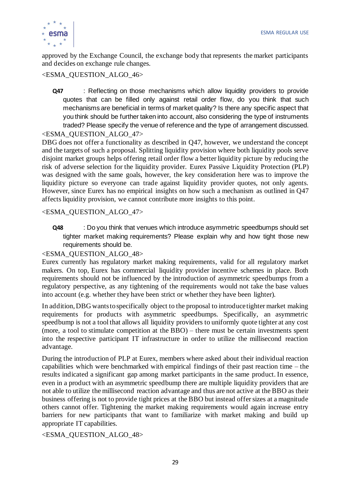

approved by the Exchange Council, the exchange body that represents the market participants and decides on exchange rule changes.

# <ESMA\_QUESTION\_ALGO\_46>

**Q47** : Reflecting on those mechanisms which allow liquidity providers to provide quotes that can be filled only against retail order flow, do you think that such mechanisms are beneficial in terms of market quality? Is there any specific aspect that you think should be further taken into account, also considering the type of instruments traded? Please specify the venue of reference and the type of arrangement discussed.

# <ESMA\_QUESTION\_ALGO\_47>

DBG does not offer a functionality as described in Q47, however, we understand the concept and the targets of such a proposal. Splitting liquidity provision where both liquidity pools serve disjoint market groups helps offering retail order flow a better liquidity picture by reducing the risk of adverse selection for the liquidity provider. Eurex Passive Liquidity Protection (PLP) was designed with the same goals, however, the key consideration here was to improve the liquidity picture so everyone can trade against liquidity provider quotes, not only agents. However, since Eurex has no empirical insights on how such a mechanism as outlined in Q47 affects liquidity provision, we cannot contribute more insights to this point.

#### <ESMA\_QUESTION\_ALGO\_47>

**Q48** : Do you think that venues which introduce asymmetric speedbumps should set tighter market making requirements? Please explain why and how tight those new requirements should be.

#### <ESMA\_QUESTION\_ALGO\_48>

Eurex currently has regulatory market making requirements, valid for all regulatory market makers. On top, Eurex has commercial liquidity provider incentive schemes in place. Both requirements should not be influenced by the introduction of asymmetric speedbumps from a regulatory perspective, as any tightening of the requirements would not take the base values into account (e.g. whether they have been strict or whether they have been lighter).

In addition, DBG wants to specifically object to the proposal to introduce tighter market making requirements for products with asymmetric speedbumps. Specifically, an asymmetric speedbump is not a tool that allows all liquidity providers to uniformly quote tighter at any cost (more, a tool to stimulate competition at the BBO) – there must be certain investments spent into the respective participant IT infrastructure in order to utilize the millisecond reaction advantage.

During the introduction of PLP at Eurex, members where asked about their individual reaction capabilities which were benchmarked with empirical findings of their past reaction time – the results indicated a significant gap among market participants in the same product. In essence, even in a product with an asymmetric speedbump there are multiple liquidity providers that are not able to utilize the millisecond reaction advantage and thus are not active at the BBO as their business offering is not to provide tight prices at the BBO but instead offer sizes at a magnitude others cannot offer. Tightening the market making requirements would again increase entry barriers for new participants that want to familiarize with market making and build up appropriate IT capabilities.

# <ESMA\_QUESTION\_ALGO\_48>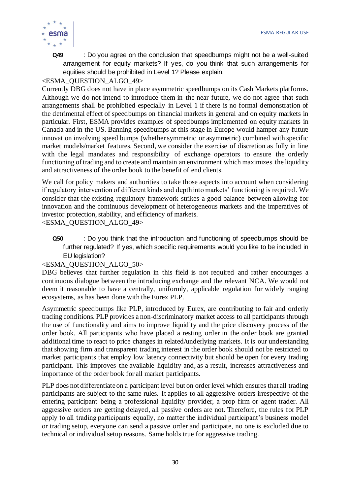

**Q49** : Do you agree on the conclusion that speedbumps might not be a well-suited arrangement for equity markets? If yes, do you think that such arrangements for equities should be prohibited in Level 1? Please explain.

# <ESMA\_QUESTION\_ALGO\_49>

Currently DBG does not have in place asymmetric speedbumps on its Cash Markets platforms. Although we do not intend to introduce them in the near future, we do not agree that such arrangements shall be prohibited especially in Level 1 if there is no formal demonstration of the detrimental effect of speedbumps on financial markets in general and on equity markets in particular. First, ESMA provides examples of speedbumps implemented on equity markets in Canada and in the US. Banning speedbumps at this stage in Europe would hamper any future innovation involving speed bumps (whether symmetric or asymmetric) combined with specific market models/market features. Second, we consider the exercise of discretion as fully in line with the legal mandates and responsibility of exchange operators to ensure the orderly functioning of trading and to create and maintain an environment which maximizes the liquidity and attractiveness of the order book to the benefit of end clients.

We call for policy makers and authorities to take those aspects into account when considering if regulatory intervention of different kinds and depth into markets' functioning is required. We consider that the existing regulatory framework strikes a good balance between allowing for innovation and the continuous development of heterogeneous markets and the imperatives of investor protection, stability, and efficiency of markets.

<ESMA\_QUESTION\_ALGO\_49>

**Q50** : Do you think that the introduction and functioning of speedbumps should be further regulated? If yes, which specific requirements would you like to be included in EU legislation?

#### <ESMA\_QUESTION\_ALGO\_50>

DBG believes that further regulation in this field is not required and rather encourages a continuous dialogue between the introducing exchange and the relevant NCA. We would not deem it reasonable to have a centrally, uniformly, applicable regulation for wid ely ranging ecosystems, as has been done with the Eurex PLP.

Asymmetric speedbumps like PLP, introduced by Eurex, are contributing to fair and orderly trading conditions. PLP provides a non-discriminatory market access to all participants through the use of functionality and aims to improve liquidity and the price discovery process of the order book. All participants who have placed a resting order in the order book are granted additional time to react to price changes in related/underlying markets. It is our understanding that showing firm and transparent trading interest in the order book should not be restricted to market participants that employ low latency connectivity but should be open for every trading participant. This improves the available liquidity and, as a result, increases attractiveness and importance of the order book for all market participants.

PLP does not differentiate on a participant level but on order level which ensures that all trading participants are subject to the same rules. It applies to all aggressive orders irrespective of the entering participant being a professional liquidity provider, a prop firm or agent trader. All aggressive orders are getting delayed, all passive orders are not. Therefore, the rules for PLP apply to all trading participants equally, no matter the individual participant's business model or trading setup, everyone can send a passive order and participate, no one is excluded due to technical or individual setup reasons. Same holds true for aggressive trading.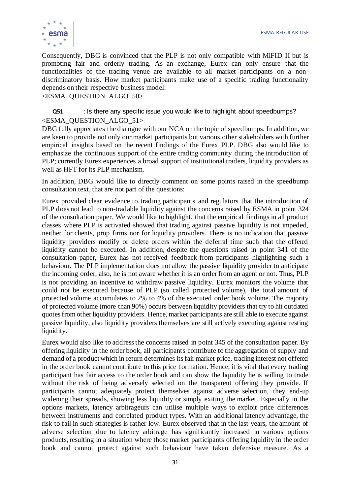

Consequently, DBG is convinced that the PLP is not only compatible with MiFID II but is promoting fair and orderly trading. As an exchange, Eurex can only ensure that the functionalities of the trading venue are available to all market participants on a nondiscriminatory basis. How market participants make use of a specific trading functionality depends on their respective business model.

<ESMA\_QUESTION\_ALGO\_50>

**Q51** : Is there any specific issue you would like to highlight about speedbumps? <ESMA\_QUESTION\_ALGO\_51>

DBG fully appreciates the dialogue with our NCA on the topic of speedbumps. In addition, we are keen to provide not only our market participants but various other stakeholders with further empirical insights based on the recent findings of the Eurex PLP. DBG also would like to emphasize the continuous support of the entire trading community during the introduction of PLP; currently Eurex experiences a broad support of institutional traders, liquidity providers as well as HFT for its PLP mechanism.

In addition, DBG would like to directly comment on some points raised in the speedbump consultation text, that are not part of the questions:

Eurex provided clear evidence to trading participants and regulators that the introduction of PLP does not lead to non-tradable liquidity against the concerns raised by ESMA in point 324 of the consultation paper. We would like to highlight, that the empirical findings in all product classes where PLP is activated showed that trading against passive liquidity is not impeded, neither for clients, prop firms nor for liquidity providers. There is no indication that passive liquidity providers modify or delete orders within the deferral time such that the offered liquidity cannot be executed. In addition, despite the questions raised in point 341 of the consultation paper, Eurex has not received feedback from participants highlighting such a behaviour. The PLP implementation does not allow the passive liquidity provider to anticipate the incoming order, also, he is not aware whether it is an order from an agent or not. Thus, PLP is not providing an incentive to withdraw passive liquidity. Eurex monitors the volume that could not be executed because of PLP (so called protected volume), the total amount of protected volume accumulates to 2% to 4% of the executed order book volume. The majority of protected volume (more than 90%) occurs between liquidity providers that try to hit outdated quotes from other liquidity providers. Hence, market participants are still able to execute against passive liquidity, also liquidity providers themselves are still actively executing against resting liquidity.

Eurex would also like to address the concerns raised in point 345 of the consultation paper. By offering liquidity in the order book, all participants contribute to the aggregation of supply and demand of a product which in return determines its fair market price, trading interest not offered in the order book cannot contribute to this price formation. Hence, it is vital that every trading participant has fair access to the order book and can show the liquidity he is willing to trade without the risk of being adversely selected on the transparent offering they provide. If participants cannot adequately protect themselves against adverse selection, they end-up widening their spreads, showing less liquidity or simply exiting the market. Especially in the options markets, latency arbitrageurs can utilise multiple ways to exploit price differences between instruments and correlated product types. With an additional latency advantage, the risk to fail in such strategies is rather low. Eurex observed that in the last years, the amount of adverse selection due to latency arbitrage has significantly increased in various options products, resulting in a situation where those market participants offering liquidity in the order book and cannot protect against such behaviour have taken defensive measure. As a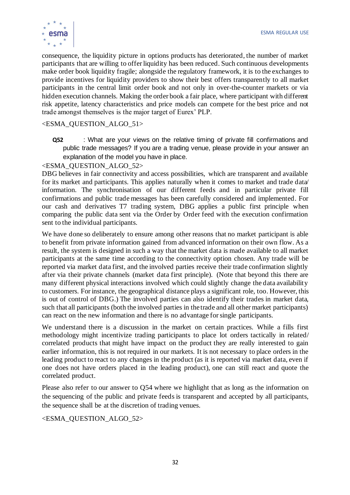

consequence, the liquidity picture in options products has deteriorated, the number of market participants that are willing to offer liquidity has been reduced. Such continuous developments make order book liquidity fragile; alongside the regulatory framework, it is to the exchanges to provide incentives for liquidity providers to show their best offers transparently to all market participants in the central limit order book and not only in over-the-counter markets or via hidden execution channels. Making the order book a fair place, where participant with different risk appetite, latency characteristics and price models can compete for the best price and not trade amongst themselves is the major target of Eurex' PLP.

#### <ESMA\_QUESTION\_ALGO\_51>

**Q52** : What are your views on the relative timing of private fill confirmations and public trade messages? If you are a trading venue, please provide in your answer an explanation of the model you have in place.

#### <ESMA\_QUESTION\_ALGO\_52>

DBG believes in fair connectivity and access possibilities, which are transparent and available for its market and participants. This applies naturally when it comes to market and trade data/ information. The synchronisation of our different feeds and in particular private fill confirmations and public trade messages has been carefully considered and implemented. For our cash and derivatives T7 trading system, DBG applies a public first principle when comparing the public data sent via the Order by Order feed with the execution confirmation sent to the individual participants.

We have done so deliberately to ensure among other reasons that no market participant is able to benefit from private information gained from advanced information on their own flow. As a result, the system is designed in such a way that the market data is made available to all market participants at the same time according to the connectivity option chosen. Any trade will be reported via market data first, and the involved parties receive their trade confirmation slightly after via their private channels (market data first principle). (Note that beyond this there are many different physical interactions involved which could slightly change the data availability to customers. For instance, the geographical distance plays a significant role, too. However, this is out of control of DBG.) The involved parties can also identify their trades in market data, such that all participants (both the involved parties in the trade and all other market participants) can react on the new information and there is no advantage for single participants.

We understand there is a discussion in the market on certain practices. While a fills first methodology might incentivize trading participants to place lot orders tactically in related/ correlated products that might have impact on the product they are really interested to gain earlier information, this is not required in our markets. It is not necessary to place orders in the leading product to react to any changes in the product (as it is reported via market data, even if one does not have orders placed in the leading product), one can still react and quote the correlated product.

Please also refer to our answer to Q54 where we highlight that as long as the information on the sequencing of the public and private feeds is transparent and accepted by all participants, the sequence shall be at the discretion of trading venues.

<ESMA\_QUESTION\_ALGO\_52>